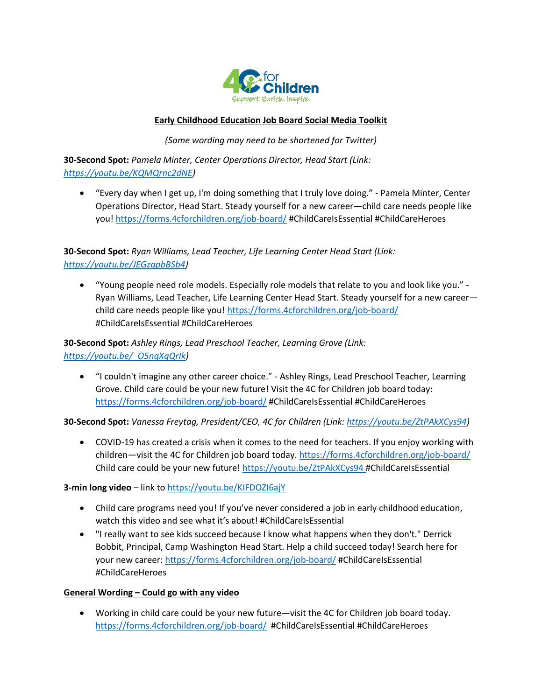

## **Early Childhood Education Job Board Social Media Toolkit**

*(Some wording may need to be shortened for Twitter)*

**30-Second Spot:** *Pamela Minter, Center Operations Director, Head Start (Link: [https://youtu.be/KQMQrnc2dNE\)](https://youtu.be/KQMQrnc2dNE)*

• "Every day when I get up, I'm doing something that I truly love doing." - Pamela Minter, Center Operations Director, Head Start. Steady yourself for a new career—child care needs people like you[! https://forms.4cforchildren.org/job-board/](https://forms.4cforchildren.org/job-board/) #ChildCareIsEssential #ChildCareHeroes

**30-Second Spot:** *Ryan Williams, Lead Teacher, Life Learning Center Head Start (Link: [https://youtu.be/JEGzgpbBSb4\)](https://youtu.be/JEGzgpbBSb4)*

• "Young people need role models. Especially role models that relate to you and look like you." - Ryan Williams, Lead Teacher, Life Learning Center Head Start. Steady yourself for a new career— child care needs people like you[! https://forms.4cforchildren.org/job-board/](https://forms.4cforchildren.org/job-board/) #ChildCareIsEssential #ChildCareHeroes

**30-Second Spot:** *Ashley Rings, Lead Preschool Teacher, Learning Grove (Link: [https://youtu.be/\\_O5nqXqQrIk\)](https://youtu.be/_O5nqXqQrIk)*

• "I couldn't imagine any other career choice." - Ashley Rings, Lead Preschool Teacher, Learning Grove. Child care could be your new future! Visit the 4C for Children job board today: <https://forms.4cforchildren.org/job-board/> #ChildCareIsEssential #ChildCareHeroes

**30-Second Spot:** *Vanessa Freytag, President/CEO, 4C for Children (Link[: https://youtu.be/ZtPAkXCys94\)](https://youtu.be/ZtPAkXCys94)*

• COVID-19 has created a crisis when it comes to the need for teachers. If you enjoy working with children—visit the 4C for Children job board today.<https://forms.4cforchildren.org/job-board/> Child care could be your new future!<https://youtu.be/ZtPAkXCys94> #ChildCareIsEssential

**3-min long video** – link to<https://youtu.be/KIFDOZI6ajY>

- Child care programs need you! If you've never considered a job in early childhood education, watch this video and see what it's about! #ChildCareIsEssential
- "I really want to see kids succeed because I know what happens when they don't." Derrick Bobbit, Principal, Camp Washington Head Start. Help a child succeed today! Search here for your new career[: https://forms.4cforchildren.org/job-board/](https://forms.4cforchildren.org/job-board/) #ChildCareIsEssential #ChildCareHeroes

## **General Wording – Could go with any video**

• Working in child care could be your new future—visit the 4C for Children job board today. <https://forms.4cforchildren.org/job-board/>#ChildCareIsEssential #ChildCareHeroes